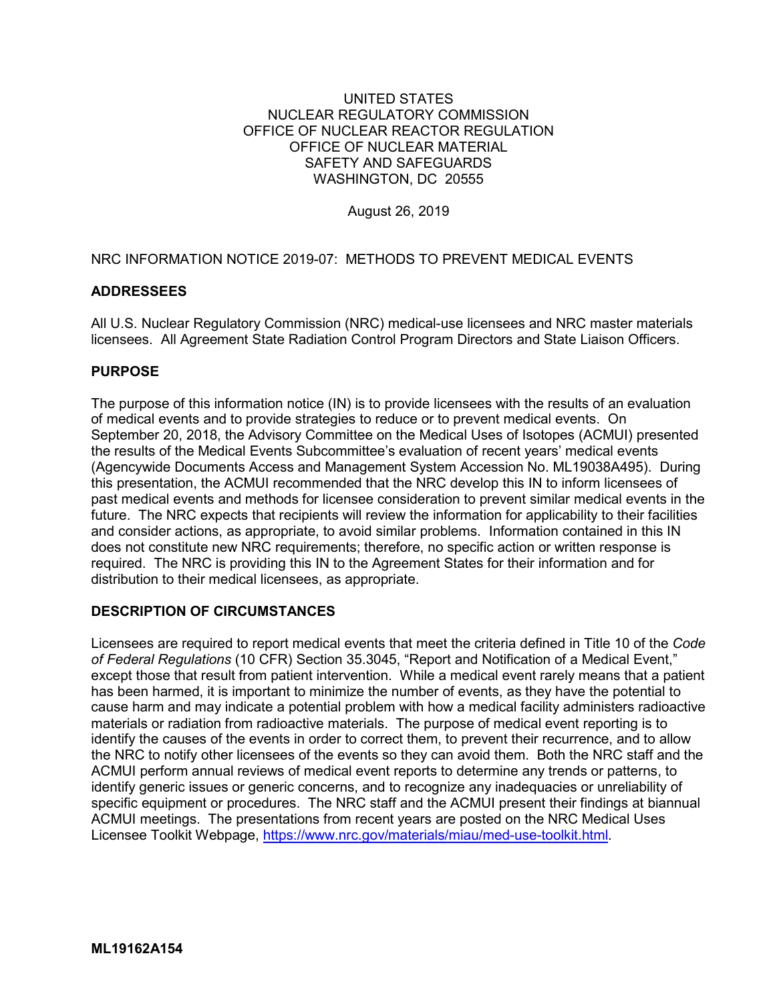# UNITED STATES NUCLEAR REGULATORY COMMISSION OFFICE OF NUCLEAR REACTOR REGULATION OFFICE OF NUCLEAR MATERIAL SAFETY AND SAFEGUARDS WASHINGTON, DC 20555

August 26, 2019

NRC INFORMATION NOTICE 2019-07: METHODS TO PREVENT MEDICAL EVENTS

# **ADDRESSEES**

All U.S. Nuclear Regulatory Commission (NRC) medical-use licensees and NRC master materials licensees. All Agreement State Radiation Control Program Directors and State Liaison Officers.

# **PURPOSE**

The purpose of this information notice (IN) is to provide licensees with the results of an evaluation of medical events and to provide strategies to reduce or to prevent medical events. On September 20, 2018, the Advisory Committee on the Medical Uses of Isotopes (ACMUI) presented the results of the Medical Events Subcommittee's evaluation of recent years' medical events (Agencywide Documents Access and Management System Accession No. ML19038A495). During this presentation, the ACMUI recommended that the NRC develop this IN to inform licensees of past medical events and methods for licensee consideration to prevent similar medical events in the future. The NRC expects that recipients will review the information for applicability to their facilities and consider actions, as appropriate, to avoid similar problems. Information contained in this IN does not constitute new NRC requirements; therefore, no specific action or written response is required. The NRC is providing this IN to the Agreement States for their information and for distribution to their medical licensees, as appropriate.

#### **DESCRIPTION OF CIRCUMSTANCES**

Licensees are required to report medical events that meet the criteria defined in Title 10 of the *Code of Federal Regulations* (10 CFR) Section 35.3045, "Report and Notification of a Medical Event," except those that result from patient intervention. While a medical event rarely means that a patient has been harmed, it is important to minimize the number of events, as they have the potential to cause harm and may indicate a potential problem with how a medical facility administers radioactive materials or radiation from radioactive materials. The purpose of medical event reporting is to identify the causes of the events in order to correct them, to prevent their recurrence, and to allow the NRC to notify other licensees of the events so they can avoid them. Both the NRC staff and the ACMUI perform annual reviews of medical event reports to determine any trends or patterns, to identify generic issues or generic concerns, and to recognize any inadequacies or unreliability of specific equipment or procedures. The NRC staff and the ACMUI present their findings at biannual ACMUI meetings. The presentations from recent years are posted on the NRC Medical Uses Licensee Toolkit Webpage, [https://www.nrc.gov/materials/miau/med-use-toolkit.html.](https://www.nrc.gov/materials/miau/med-use-toolkit.html)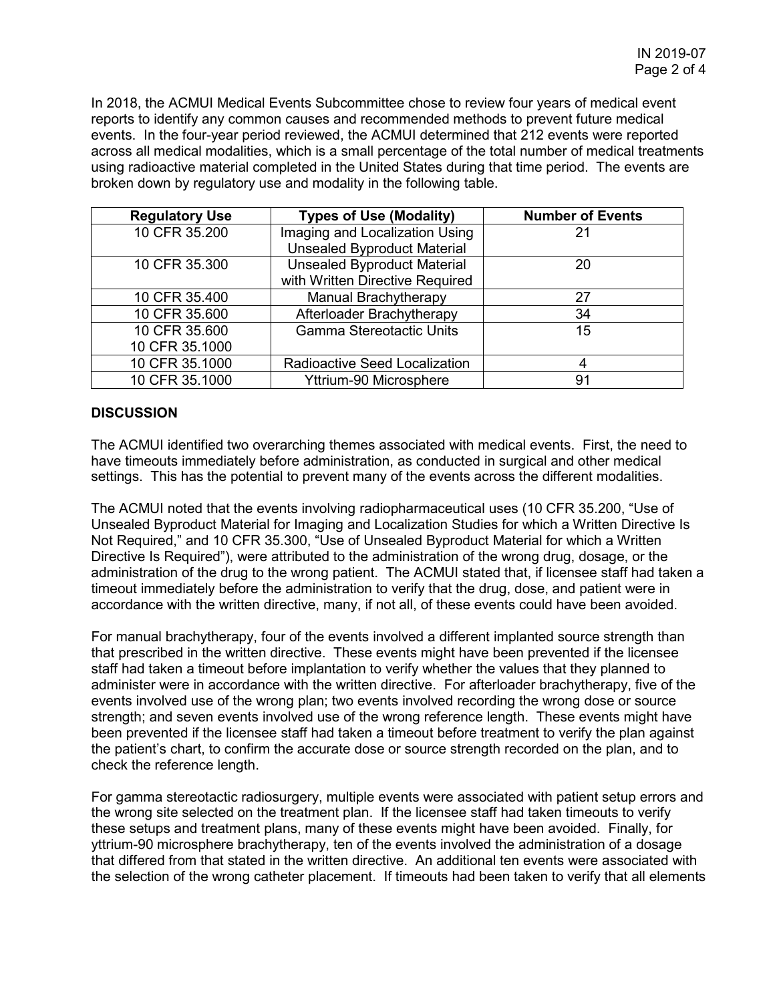In 2018, the ACMUI Medical Events Subcommittee chose to review four years of medical event reports to identify any common causes and recommended methods to prevent future medical events. In the four-year period reviewed, the ACMUI determined that 212 events were reported across all medical modalities, which is a small percentage of the total number of medical treatments using radioactive material completed in the United States during that time period. The events are broken down by regulatory use and modality in the following table.

| <b>Regulatory Use</b> | <b>Types of Use (Modality)</b>           | <b>Number of Events</b> |
|-----------------------|------------------------------------------|-------------------------|
| 10 CFR 35.200         | Imaging and Localization Using           | 21                      |
|                       | <b>Unsealed Byproduct Material</b>       |                         |
| 10 CFR 35.300         | <b>Unsealed Byproduct Material</b><br>20 |                         |
|                       | with Written Directive Required          |                         |
| 10 CFR 35.400         | <b>Manual Brachytherapy</b>              | 27                      |
| 10 CFR 35.600         | Afterloader Brachytherapy                | 34                      |
| 10 CFR 35.600         | <b>Gamma Stereotactic Units</b>          | 15                      |
| 10 CFR 35.1000        |                                          |                         |
| 10 CFR 35.1000        | Radioactive Seed Localization            | 4                       |
| 10 CFR 35.1000        | Yttrium-90 Microsphere                   | 91                      |

# **DISCUSSION**

The ACMUI identified two overarching themes associated with medical events. First, the need to have timeouts immediately before administration, as conducted in surgical and other medical settings. This has the potential to prevent many of the events across the different modalities.

The ACMUI noted that the events involving radiopharmaceutical uses (10 CFR 35.200, "Use of Unsealed Byproduct Material for Imaging and Localization Studies for which a Written Directive Is Not Required," and 10 CFR 35.300, "Use of Unsealed Byproduct Material for which a Written Directive Is Required"), were attributed to the administration of the wrong drug, dosage, or the administration of the drug to the wrong patient. The ACMUI stated that, if licensee staff had taken a timeout immediately before the administration to verify that the drug, dose, and patient were in accordance with the written directive, many, if not all, of these events could have been avoided.

For manual brachytherapy, four of the events involved a different implanted source strength than that prescribed in the written directive. These events might have been prevented if the licensee staff had taken a timeout before implantation to verify whether the values that they planned to administer were in accordance with the written directive. For afterloader brachytherapy, five of the events involved use of the wrong plan; two events involved recording the wrong dose or source strength; and seven events involved use of the wrong reference length. These events might have been prevented if the licensee staff had taken a timeout before treatment to verify the plan against the patient's chart, to confirm the accurate dose or source strength recorded on the plan, and to check the reference length.

For gamma stereotactic radiosurgery, multiple events were associated with patient setup errors and the wrong site selected on the treatment plan. If the licensee staff had taken timeouts to verify these setups and treatment plans, many of these events might have been avoided. Finally, for yttrium-90 microsphere brachytherapy, ten of the events involved the administration of a dosage that differed from that stated in the written directive. An additional ten events were associated with the selection of the wrong catheter placement. If timeouts had been taken to verify that all elements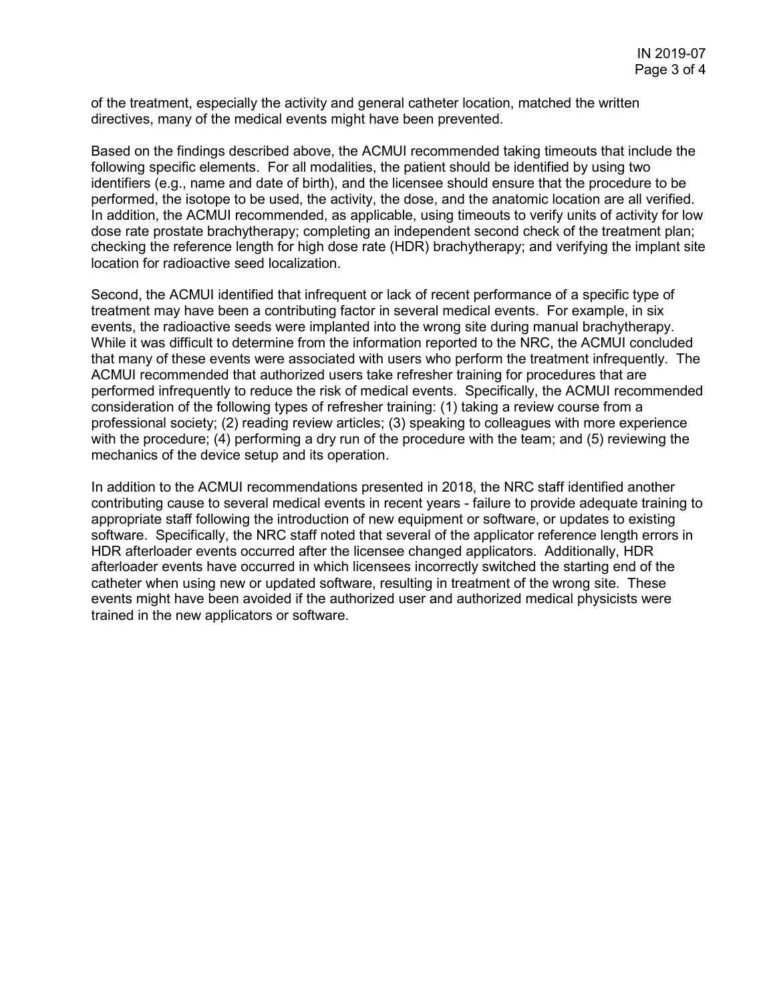of the treatment, especially the activity and general catheter location, matched the written directives, many of the medical events might have been prevented.

Based on the findings described above, the ACMUI recommended taking timeouts that include the following specific elements. For all modalities, the patient should be identified by using two identifiers (e.g., name and date of birth), and the licensee should ensure that the procedure to be performed, the isotope to be used, the activity, the dose, and the anatomic location are all verified. In addition, the ACMUI recommended, as applicable, using timeouts to verify units of activity for low dose rate prostate brachytherapy; completing an independent second check of the treatment plan; checking the reference length for high dose rate (HDR) brachytherapy; and verifying the implant site location for radioactive seed localization.

Second, the ACMUI identified that infrequent or lack of recent performance of a specific type of treatment may have been a contributing factor in several medical events. For example, in six events, the radioactive seeds were implanted into the wrong site during manual brachytherapy. While it was difficult to determine from the information reported to the NRC, the ACMUI concluded that many of these events were associated with users who perform the treatment infrequently. The ACMUI recommended that authorized users take refresher training for procedures that are performed infrequently to reduce the risk of medical events. Specifically, the ACMUI recommended consideration of the following types of refresher training: (1) taking a review course from a professional society; (2) reading review articles; (3) speaking to colleagues with more experience with the procedure; (4) performing a dry run of the procedure with the team; and (5) reviewing the mechanics of the device setup and its operation.

In addition to the ACMUI recommendations presented in 2018, the NRC staff identified another contributing cause to several medical events in recent years - failure to provide adequate training to appropriate staff following the introduction of new equipment or software, or updates to existing software. Specifically, the NRC staff noted that several of the applicator reference length errors in HDR afterloader events occurred after the licensee changed applicators. Additionally, HDR afterloader events have occurred in which licensees incorrectly switched the starting end of the catheter when using new or updated software, resulting in treatment of the wrong site. These events might have been avoided if the authorized user and authorized medical physicists were trained in the new applicators or software.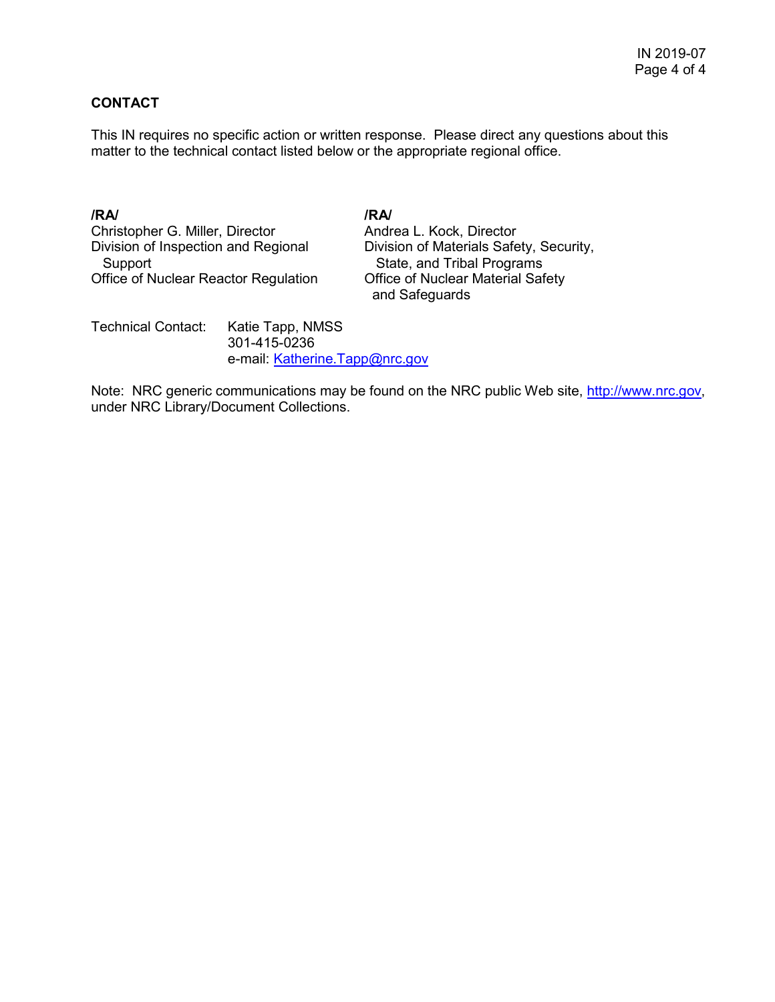# **CONTACT**

This IN requires no specific action or written response. Please direct any questions about this matter to the technical contact listed below or the appropriate regional office.

# **/RA/ /RA/**

Christopher G. Miller, Director **Andrea L. Kock, Director**<br>Division of Inspection and Regional **Division of Materials Safe** Support<br>
State, and Tribal Programs<br>
ffice of Nuclear Reactor Regulation Office of Nuclear Material Safety Office of Nuclear Reactor Regulation

Division of Materials Safety, Security, and Safeguards

Technical Contact: Katie Tapp, NMSS 301-415-0236 e-mail: [Katherine.Tapp@nrc.gov](mailto:Katherine.Tapp@nrc.gov)

Note: NRC generic communications may be found on the NRC public Web site, [http://www.nrc.gov,](http://www.nrc.gov/) under NRC Library/Document Collections.